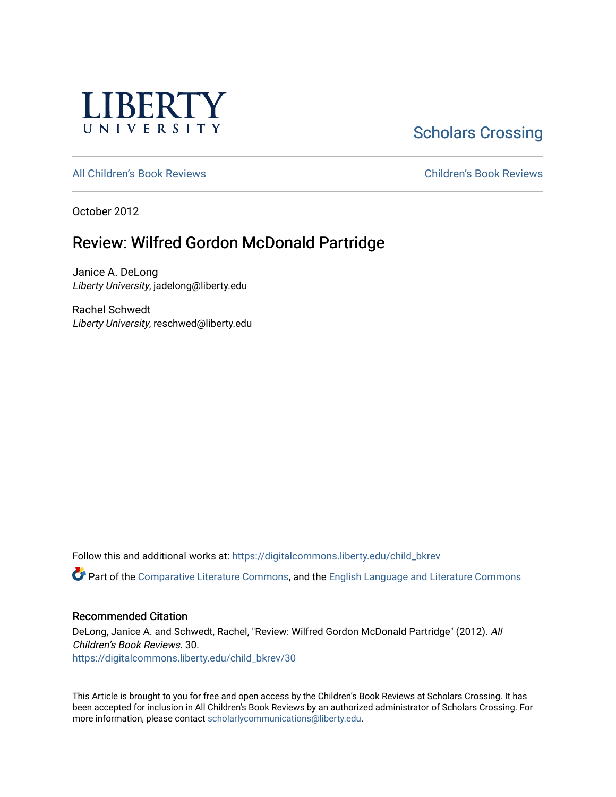

# [Scholars Crossing](https://digitalcommons.liberty.edu/)

[All Children's Book Reviews](https://digitalcommons.liberty.edu/child_bkrev) [Children's Book Reviews](https://digitalcommons.liberty.edu/child_bookrev) 

October 2012

## Review: Wilfred Gordon McDonald Partridge

Janice A. DeLong Liberty University, jadelong@liberty.edu

Rachel Schwedt Liberty University, reschwed@liberty.edu

Follow this and additional works at: [https://digitalcommons.liberty.edu/child\\_bkrev](https://digitalcommons.liberty.edu/child_bkrev?utm_source=digitalcommons.liberty.edu%2Fchild_bkrev%2F30&utm_medium=PDF&utm_campaign=PDFCoverPages) 

Part of the [Comparative Literature Commons](http://network.bepress.com/hgg/discipline/454?utm_source=digitalcommons.liberty.edu%2Fchild_bkrev%2F30&utm_medium=PDF&utm_campaign=PDFCoverPages), and the [English Language and Literature Commons](http://network.bepress.com/hgg/discipline/455?utm_source=digitalcommons.liberty.edu%2Fchild_bkrev%2F30&utm_medium=PDF&utm_campaign=PDFCoverPages)

#### Recommended Citation

DeLong, Janice A. and Schwedt, Rachel, "Review: Wilfred Gordon McDonald Partridge" (2012). All Children's Book Reviews. 30. [https://digitalcommons.liberty.edu/child\\_bkrev/30](https://digitalcommons.liberty.edu/child_bkrev/30?utm_source=digitalcommons.liberty.edu%2Fchild_bkrev%2F30&utm_medium=PDF&utm_campaign=PDFCoverPages)

This Article is brought to you for free and open access by the Children's Book Reviews at Scholars Crossing. It has been accepted for inclusion in All Children's Book Reviews by an authorized administrator of Scholars Crossing. For more information, please contact [scholarlycommunications@liberty.edu](mailto:scholarlycommunications@liberty.edu).